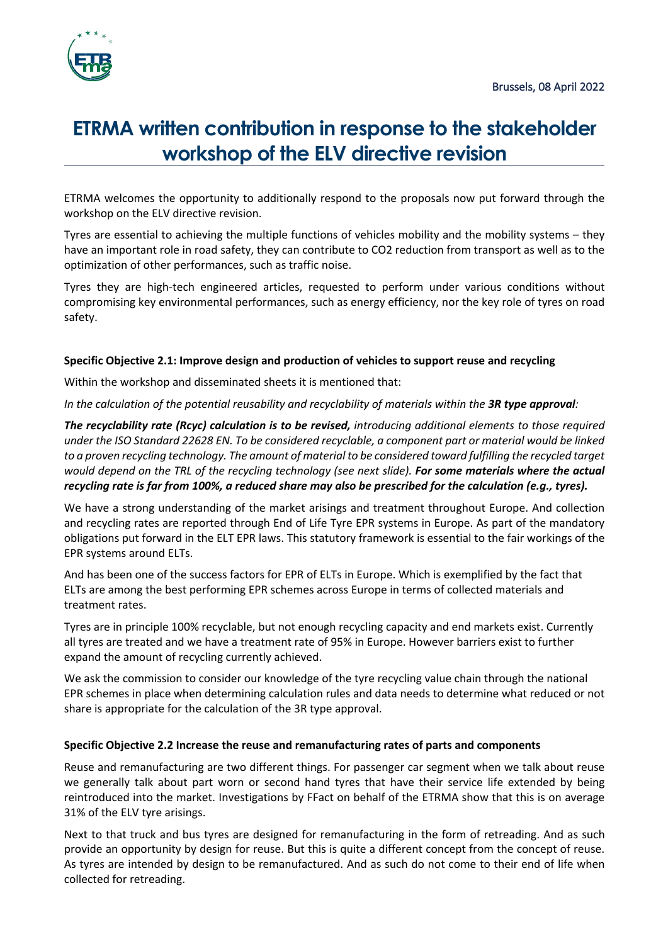

# **ETRMA written contribution in response to the stakeholder workshop of the ELV directive revision**

ETRMA welcomes the opportunity to additionally respond to the proposals now put forward through the workshop on the ELV directive revision.

Tyres are essential to achieving the multiple functions of vehicles mobility and the mobility systems – they have an important role in road safety, they can contribute to CO2 reduction from transport as well as to the optimization of other performances, such as traffic noise.

Tyres they are high-tech engineered articles, requested to perform under various conditions without compromising key environmental performances, such as energy efficiency, nor the key role of tyres on road safety.

## **Specific Objective 2.1: Improve design and production of vehicles to support reuse and recycling**

Within the workshop and disseminated sheets it is mentioned that:

*In the calculation of the potential reusability and recyclability of materials within the 3R type approval:* 

*The recyclability rate (Rcyc) calculation is to be revised, introducing additional elements to those required under the ISO Standard 22628 EN. To be considered recyclable, a component part or material would be linked*  to a proven recycling technology. The amount of material to be considered toward fulfilling the recycled target would depend on the TRL of the recycling technology (see next slide). **For some materials where the actual** *recycling rate is far from 100%, a reduced share may also be prescribed for the calculation (e.g., tyres).* 

We have a strong understanding of the market arisings and treatment throughout Europe. And collection and recycling rates are reported through End of Life Tyre EPR systems in Europe. As part of the mandatory obligations put forward in the ELT EPR laws. This statutory framework is essential to the fair workings of the EPR systems around ELTs.

And has been one of the success factors for EPR of ELTs in Europe. Which is exemplified by the fact that ELTs are among the best performing EPR schemes across Europe in terms of collected materials and treatment rates.

Tyres are in principle 100% recyclable, but not enough recycling capacity and end markets exist. Currently all tyres are treated and we have a treatment rate of 95% in Europe. However barriers exist to further expand the amount of recycling currently achieved.

We ask the commission to consider our knowledge of the tyre recycling value chain through the national EPR schemes in place when determining calculation rules and data needs to determine what reduced or not share is appropriate for the calculation of the 3R type approval.

### **Specific Objective 2.2 Increase the reuse and remanufacturing rates of parts and components**

Reuse and remanufacturing are two different things. For passenger car segment when we talk about reuse we generally talk about part worn or second hand tyres that have their service life extended by being reintroduced into the market. Investigations by FFact on behalf of the ETRMA show that this is on average 31% of the ELV tyre arisings.

Next to that truck and bus tyres are designed for remanufacturing in the form of retreading. And as such provide an opportunity by design for reuse. But this is quite a different concept from the concept of reuse. As tyres are intended by design to be remanufactured. And as such do not come to their end of life when collected for retreading.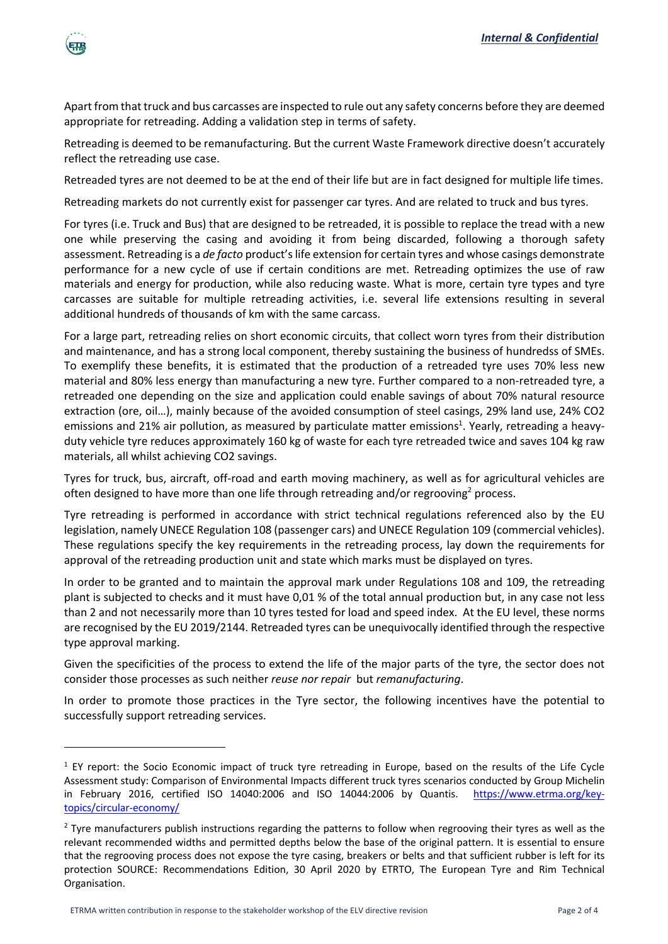

Apart from that truck and bus carcasses are inspected to rule out any safety concerns before they are deemed appropriate for retreading. Adding a validation step in terms of safety.

Retreading is deemed to be remanufacturing. But the current Waste Framework directive doesn't accurately reflect the retreading use case.

Retreaded tyres are not deemed to be at the end of their life but are in fact designed for multiple life times.

Retreading markets do not currently exist for passenger car tyres. And are related to truck and bus tyres.

For tyres (i.e. Truck and Bus) that are designed to be retreaded, it is possible to replace the tread with a new one while preserving the casing and avoiding it from being discarded, following a thorough safety assessment. Retreading is a *de facto* product's life extension for certain tyres and whose casings demonstrate performance for a new cycle of use if certain conditions are met. Retreading optimizes the use of raw materials and energy for production, while also reducing waste. What is more, certain tyre types and tyre carcasses are suitable for multiple retreading activities, i.e. several life extensions resulting in several additional hundreds of thousands of km with the same carcass.

For a large part, retreading relies on short economic circuits, that collect worn tyres from their distribution and maintenance, and has a strong local component, thereby sustaining the business of hundredss of SMEs. To exemplify these benefits, it is estimated that the production of a retreaded tyre uses 70% less new material and 80% less energy than manufacturing a new tyre. Further compared to a non-retreaded tyre, a retreaded one depending on the size and application could enable savings of about 70% natural resource extraction (ore, oil…), mainly because of the avoided consumption of steel casings, 29% land use, 24% CO2 emissions and 21% air pollution, as measured by particulate matter emissions<sup>1</sup>. Yearly, retreading a heavyduty vehicle tyre reduces approximately 160 kg of waste for each tyre retreaded twice and saves 104 kg raw materials, all whilst achieving CO2 savings.

Tyres for truck, bus, aircraft, off-road and earth moving machinery, as well as for agricultural vehicles are often designed to have more than one life through retreading and/or regrooving<sup>2</sup> process.

Tyre retreading is performed in accordance with strict technical regulations referenced also by the EU legislation, namely UNECE Regulation 108 (passenger cars) and UNECE Regulation 109 (commercial vehicles). These regulations specify the key requirements in the retreading process, lay down the requirements for approval of the retreading production unit and state which marks must be displayed on tyres.

In order to be granted and to maintain the approval mark under Regulations 108 and 109, the retreading plant is subjected to checks and it must have 0,01 % of the total annual production but, in any case not less than 2 and not necessarily more than 10 tyres tested for load and speed index. At the EU level, these norms are recognised by the EU 2019/2144. Retreaded tyres can be unequivocally identified through the respective type approval marking.

Given the specificities of the process to extend the life of the major parts of the tyre, the sector does not consider those processes as such neither *reuse nor repair* but *remanufacturing*.

In order to promote those practices in the Tyre sector, the following incentives have the potential to successfully support retreading services.

 $1$  EY report: the Socio Economic impact of truck tyre retreading in Europe, based on the results of the Life Cycle Assessment study: Comparison of Environmental Impacts different truck tyres scenarios conducted by Group Michelin in February 2016, certified ISO 14040:2006 and ISO 14044:2006 by Quantis. https://www.etrma.org/keytopics/circular-economy/

 $2$  Tyre manufacturers publish instructions regarding the patterns to follow when regrooving their tyres as well as the relevant recommended widths and permitted depths below the base of the original pattern. It is essential to ensure that the regrooving process does not expose the tyre casing, breakers or belts and that sufficient rubber is left for its protection SOURCE: Recommendations Edition, 30 April 2020 by ETRTO, The European Tyre and Rim Technical Organisation.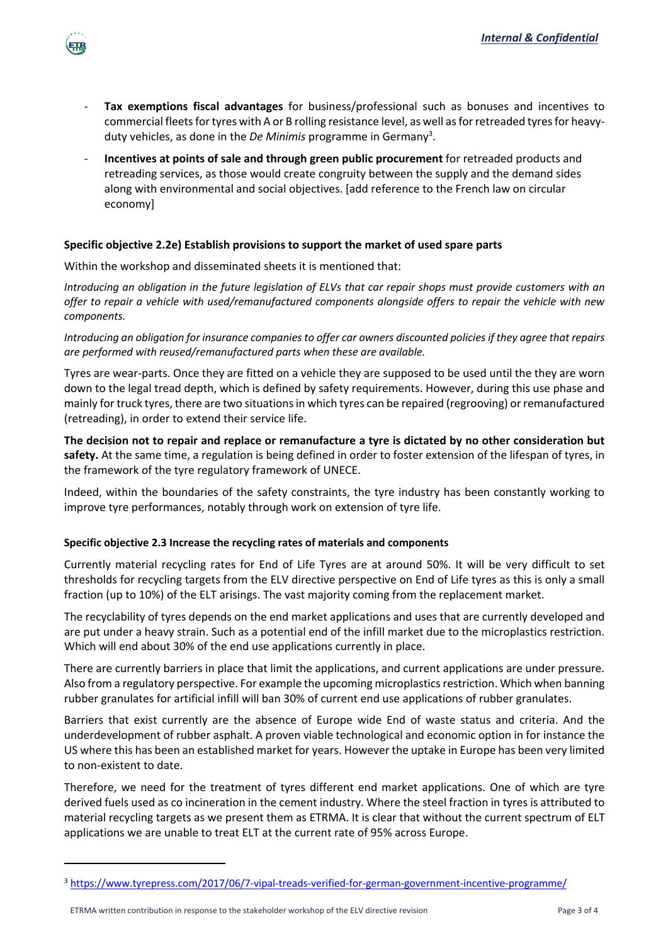- **Tax exemptions fiscal advantages** for business/professional such as bonuses and incentives to commercial fleets for tyres with A or B rolling resistance level, as well as for retreaded tyres for heavyduty vehicles, as done in the *De Minimis* programme in Germany<sup>3</sup>.
- **Incentives at points of sale and through green public procurement** for retreaded products and retreading services, as those would create congruity between the supply and the demand sides along with environmental and social objectives. [add reference to the French law on circular economy]

### **Specific objective 2.2e) Establish provisions to support the market of used spare parts**

Within the workshop and disseminated sheets it is mentioned that:

界限

*Introducing an obligation in the future legislation of ELVs that car repair shops must provide customers with an offer to repair a vehicle with used/remanufactured components alongside offers to repair the vehicle with new components.* 

*Introducing an obligation for insurance companies to offer car owners discounted policies if they agree that repairs are performed with reused/remanufactured parts when these are available.* 

Tyres are wear-parts. Once they are fitted on a vehicle they are supposed to be used until the they are worn down to the legal tread depth, which is defined by safety requirements. However, during this use phase and mainly for truck tyres, there are two situations in which tyres can be repaired (regrooving) or remanufactured (retreading), in order to extend their service life.

**The decision not to repair and replace or remanufacture a tyre is dictated by no other consideration but safety.** At the same time, a regulation is being defined in order to foster extension of the lifespan of tyres, in the framework of the tyre regulatory framework of UNECE.

Indeed, within the boundaries of the safety constraints, the tyre industry has been constantly working to improve tyre performances, notably through work on extension of tyre life.

#### **Specific objective 2.3 Increase the recycling rates of materials and components**

Currently material recycling rates for End of Life Tyres are at around 50%. It will be very difficult to set thresholds for recycling targets from the ELV directive perspective on End of Life tyres as this is only a small fraction (up to 10%) of the ELT arisings. The vast majority coming from the replacement market.

The recyclability of tyres depends on the end market applications and uses that are currently developed and are put under a heavy strain. Such as a potential end of the infill market due to the microplastics restriction. Which will end about 30% of the end use applications currently in place.

There are currently barriers in place that limit the applications, and current applications are under pressure. Also from a regulatory perspective. For example the upcoming microplastics restriction. Which when banning rubber granulates for artificial infill will ban 30% of current end use applications of rubber granulates.

Barriers that exist currently are the absence of Europe wide End of waste status and criteria. And the underdevelopment of rubber asphalt. A proven viable technological and economic option in for instance the US where this has been an established market for years. However the uptake in Europe has been very limited to non-existent to date.

Therefore, we need for the treatment of tyres different end market applications. One of which are tyre derived fuels used as co incineration in the cement industry. Where the steel fraction in tyres is attributed to material recycling targets as we present them as ETRMA. It is clear that without the current spectrum of ELT applications we are unable to treat ELT at the current rate of 95% across Europe.

<sup>3</sup> https://www.tyrepress.com/2017/06/7-vipal-treads-verified-for-german-government-incentive-programme/